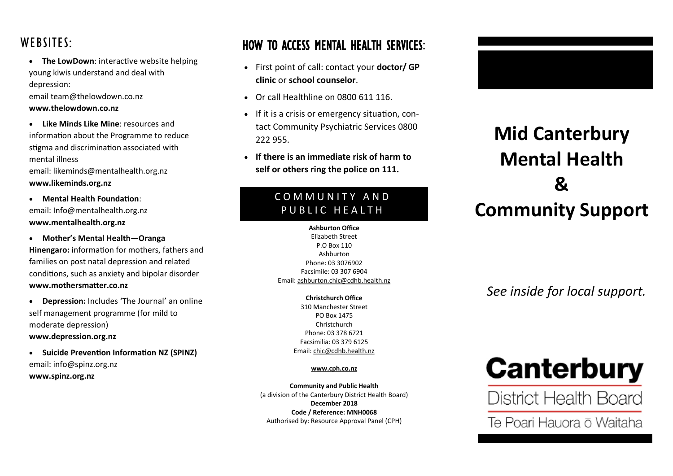### WEBSITES:

 **The LowDown**: interactive website helping young kiwis understand and deal with depression:

email team@thelowdown.co.nz **www.thelowdown.co.nz** 

 **Like Minds Like Mine**: resources and information about the Programme to reduce stigma and discrimination associated with mental illness email: likeminds@mentalhealth.org.nz

#### **www.likeminds.org.nz**

- **Mental Health Foundation**: email: Info@mentalhealth.org.nz **www.mentalhealth.org.nz**
- **Mother's Mental Health—Oranga**

**Hinengaro:** information for mothers, fathers and families on post natal depression and related conditions, such as anxiety and bipolar disorder **www.mothersmatter.co.nz**

- **Depression:** Includes 'The Journal' an online self management programme (for mild to moderate depression) **www.depression.org.nz**
- **Suicide Prevention Information NZ (SPINZ)** email: info@spinz.org.nz **www.spinz.org.nz**

### HOW TO ACCESS MENTAL HEALTH SERVICES:

- First point of call: contact your **doctor/ GP clinic** or **school counselor**.
- Or call Healthline on 0800 611 116.
- If it is a crisis or emergency situation, contact Community Psychiatric Services 0800 222 955.
- **If there is an immediate risk of harm to self or others ring the police on 111.**

#### C O M M U N I T Y A N D PUBLIC HEALTH

**Ashburton Office** Elizabeth Street P.O Box 110 Ashburton Phone: 03 3076902 Facsimile: 03 307 6904 Email: ashburton.chic@cdhb.health.nz

> **Christchurch Office** 310 Manchester Street PO Box 1475 Christchurch Phone: 03 378 6721 Facsimilia: 03 379 6125 Email: chic@cdhb.health.nz

#### **www.cph.co.nz**

**Community and Public Health** (a division of the Canterbury District Health Board) **December 2018 Code / Reference: MNH0068** Authorised by: Resource Approval Panel (CPH)



## **Mid Canterbury Mental Health & Community Support**

*See inside for local support.*

# Canterbury

District Health Board

Te Poari Hauora ō Waitaha